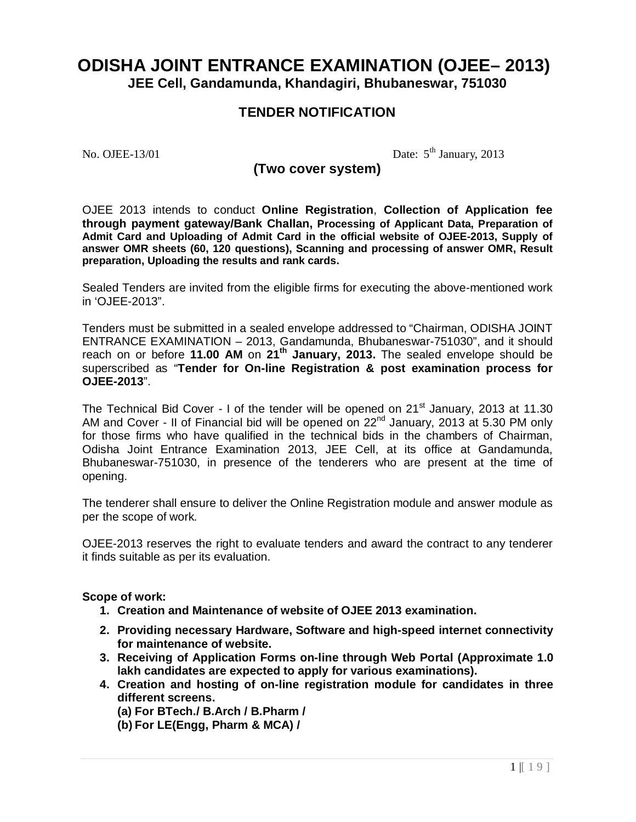# **ODISHA JOINT ENTRANCE EXAMINATION (OJEE– 2013) JEE Cell, Gandamunda, Khandagiri, Bhubaneswar, 751030**

# **TENDER NOTIFICATION**

No. OJEE-13/01

Date:  $5^{\text{th}}$  January, 2013

# **(Two cover system)**

OJEE 2013 intends to conduct **Online Registration**, **Collection of Application fee through payment gateway/Bank Challan, Processing of Applicant Data, Preparation of Admit Card and Uploading of Admit Card in the official website of OJEE-2013, Supply of answer OMR sheets (60, 120 questions), Scanning and processing of answer OMR, Result preparation, Uploading the results and rank cards.**

Sealed Tenders are invited from the eligible firms for executing the above-mentioned work in 'OJEE-2013".

Tenders must be submitted in a sealed envelope addressed to "Chairman, ODISHA JOINT ENTRANCE EXAMINATION – 2013, Gandamunda, Bhubaneswar-751030", and it should reach on or before **11.00 AM** on **21th January, 2013.** The sealed envelope should be superscribed as "**Tender for On-line Registration & post examination process for OJEE-2013**".

The Technical Bid Cover - I of the tender will be opened on  $21<sup>st</sup>$  January, 2013 at 11.30 AM and Cover - II of Financial bid will be opened on  $22^{nd}$  January, 2013 at 5.30 PM only for those firms who have qualified in the technical bids in the chambers of Chairman, Odisha Joint Entrance Examination 2013, JEE Cell, at its office at Gandamunda, Bhubaneswar-751030, in presence of the tenderers who are present at the time of opening.

The tenderer shall ensure to deliver the Online Registration module and answer module as per the scope of work.

OJEE-2013 reserves the right to evaluate tenders and award the contract to any tenderer it finds suitable as per its evaluation.

#### **Scope of work:**

- **1. Creation and Maintenance of website of OJEE 2013 examination.**
- **2. Providing necessary Hardware, Software and high-speed internet connectivity for maintenance of website.**
- **3. Receiving of Application Forms on-line through Web Portal (Approximate 1.0 lakh candidates are expected to apply for various examinations).**
- **4. Creation and hosting of on-line registration module for candidates in three different screens.**
	- **(a) For BTech./ B.Arch / B.Pharm /**
	- **(b) For LE(Engg, Pharm & MCA) /**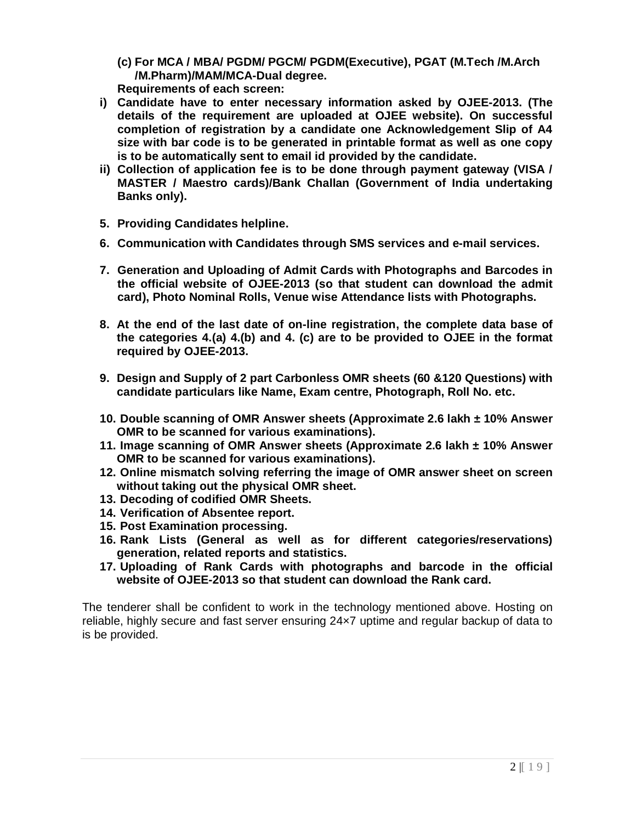- **(c) For MCA / MBA/ PGDM/ PGCM/ PGDM(Executive), PGAT (M.Tech /M.Arch /M.Pharm)/MAM/MCA-Dual degree. Requirements of each screen:**
- **i) Candidate have to enter necessary information asked by OJEE-2013. (The details of the requirement are uploaded at OJEE website). On successful completion of registration by a candidate one Acknowledgement Slip of A4 size with bar code is to be generated in printable format as well as one copy is to be automatically sent to email id provided by the candidate.**
- **ii) Collection of application fee is to be done through payment gateway (VISA / MASTER / Maestro cards)/Bank Challan (Government of India undertaking Banks only).**
- **5. Providing Candidates helpline.**
- **6. Communication with Candidates through SMS services and e-mail services.**
- **7. Generation and Uploading of Admit Cards with Photographs and Barcodes in the official website of OJEE-2013 (so that student can download the admit card), Photo Nominal Rolls, Venue wise Attendance lists with Photographs.**
- **8. At the end of the last date of on-line registration, the complete data base of the categories 4.(a) 4.(b) and 4. (c) are to be provided to OJEE in the format required by OJEE-2013.**
- **9. Design and Supply of 2 part Carbonless OMR sheets (60 &120 Questions) with candidate particulars like Name, Exam centre, Photograph, Roll No. etc.**
- **10. Double scanning of OMR Answer sheets (Approximate 2.6 lakh ± 10% Answer OMR to be scanned for various examinations).**
- **11. Image scanning of OMR Answer sheets (Approximate 2.6 lakh ± 10% Answer OMR to be scanned for various examinations).**
- **12. Online mismatch solving referring the image of OMR answer sheet on screen without taking out the physical OMR sheet.**
- **13. Decoding of codified OMR Sheets.**
- **14. Verification of Absentee report.**
- **15. Post Examination processing.**
- **16. Rank Lists (General as well as for different categories/reservations) generation, related reports and statistics.**
- **17. Uploading of Rank Cards with photographs and barcode in the official website of OJEE-2013 so that student can download the Rank card.**

The tenderer shall be confident to work in the technology mentioned above. Hosting on reliable, highly secure and fast server ensuring 24×7 uptime and regular backup of data to is be provided.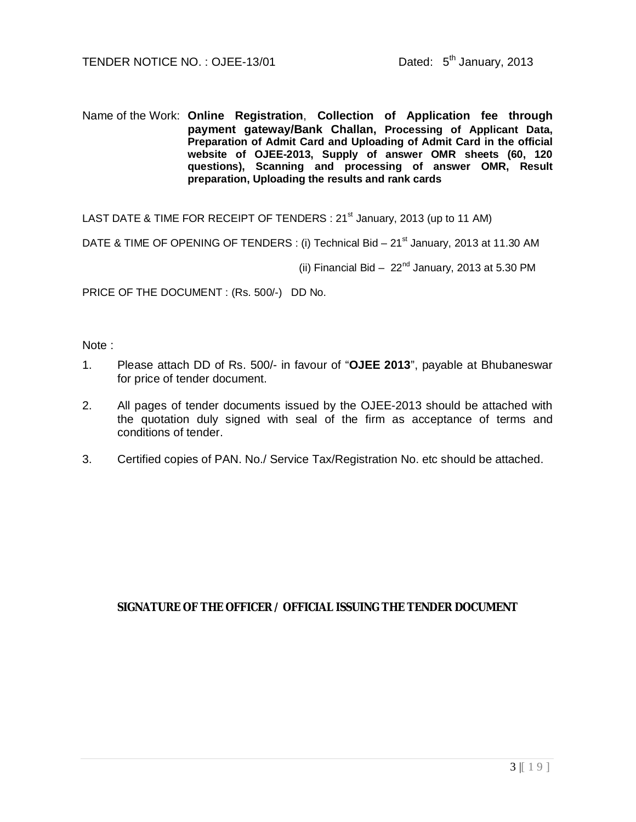Name of the Work: **Online Registration**, **Collection of Application fee through payment gateway/Bank Challan, Processing of Applicant Data, Preparation of Admit Card and Uploading of Admit Card in the official website of OJEE-2013, Supply of answer OMR sheets (60, 120 questions), Scanning and processing of answer OMR, Result preparation, Uploading the results and rank cards**

LAST DATE & TIME FOR RECEIPT OF TENDERS : 21<sup>st</sup> January, 2013 (up to 11 AM)

DATE & TIME OF OPENING OF TENDERS : (i) Technical Bid - 21<sup>st</sup> January, 2013 at 11.30 AM

(ii) Financial Bid  $-22<sup>nd</sup>$  January, 2013 at 5.30 PM

PRICE OF THE DOCUMENT : (Rs. 500/-) DD No.

Note :

- 1. Please attach DD of Rs. 500/- in favour of "**OJEE 2013**", payable at Bhubaneswar for price of tender document.
- 2. All pages of tender documents issued by the OJEE-2013 should be attached with the quotation duly signed with seal of the firm as acceptance of terms and conditions of tender.
- 3. Certified copies of PAN. No./ Service Tax/Registration No. etc should be attached.

# **SIGNATURE OF THE OFFICER / OFFICIAL ISSUING THE TENDER DOCUMENT**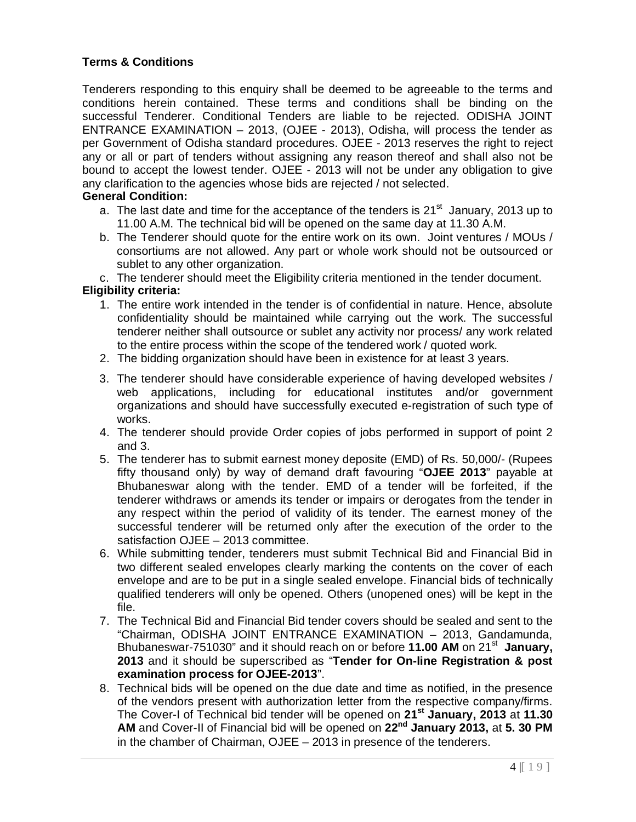# **Terms & Conditions**

Tenderers responding to this enquiry shall be deemed to be agreeable to the terms and conditions herein contained. These terms and conditions shall be binding on the successful Tenderer. Conditional Tenders are liable to be rejected. ODISHA JOINT ENTRANCE EXAMINATION – 2013, (OJEE - 2013), Odisha, will process the tender as per Government of Odisha standard procedures. OJEE - 2013 reserves the right to reject any or all or part of tenders without assigning any reason thereof and shall also not be bound to accept the lowest tender. OJEE - 2013 will not be under any obligation to give any clarification to the agencies whose bids are rejected / not selected.

### **General Condition:**

- a. The last date and time for the acceptance of the tenders is  $21<sup>st</sup>$  January, 2013 up to 11.00 A.M. The technical bid will be opened on the same day at 11.30 A.M.
- b. The Tenderer should quote for the entire work on its own. Joint ventures / MOUs / consortiums are not allowed. Any part or whole work should not be outsourced or sublet to any other organization.
- c. The tenderer should meet the Eligibility criteria mentioned in the tender document.

## **Eligibility criteria:**

- 1. The entire work intended in the tender is of confidential in nature. Hence, absolute confidentiality should be maintained while carrying out the work. The successful tenderer neither shall outsource or sublet any activity nor process/ any work related to the entire process within the scope of the tendered work / quoted work.
- 2. The bidding organization should have been in existence for at least 3 years.
- 3. The tenderer should have considerable experience of having developed websites / web applications, including for educational institutes and/or government organizations and should have successfully executed e-registration of such type of works.
- 4. The tenderer should provide Order copies of jobs performed in support of point 2 and 3.
- 5. The tenderer has to submit earnest money deposite (EMD) of Rs. 50,000/- (Rupees fifty thousand only) by way of demand draft favouring "**OJEE 2013**" payable at Bhubaneswar along with the tender. EMD of a tender will be forfeited, if the tenderer withdraws or amends its tender or impairs or derogates from the tender in any respect within the period of validity of its tender. The earnest money of the successful tenderer will be returned only after the execution of the order to the satisfaction OJEE – 2013 committee.
- 6. While submitting tender, tenderers must submit Technical Bid and Financial Bid in two different sealed envelopes clearly marking the contents on the cover of each envelope and are to be put in a single sealed envelope. Financial bids of technically qualified tenderers will only be opened. Others (unopened ones) will be kept in the file.
- 7. The Technical Bid and Financial Bid tender covers should be sealed and sent to the "Chairman, ODISHA JOINT ENTRANCE EXAMINATION – 2013, Gandamunda, Bhubaneswar-751030" and it should reach on or before 11.00 AM on 21<sup>st</sup> January, **2013** and it should be superscribed as "**Tender for On-line Registration & post examination process for OJEE-2013**".
- 8. Technical bids will be opened on the due date and time as notified, in the presence of the vendors present with authorization letter from the respective company/firms. The Cover-I of Technical bid tender will be opened on **21st January, 2013** at **11.30 AM** and Cover-II of Financial bid will be opened on **22nd January 2013,** at **5. 30 PM** in the chamber of Chairman, OJEE – 2013 in presence of the tenderers.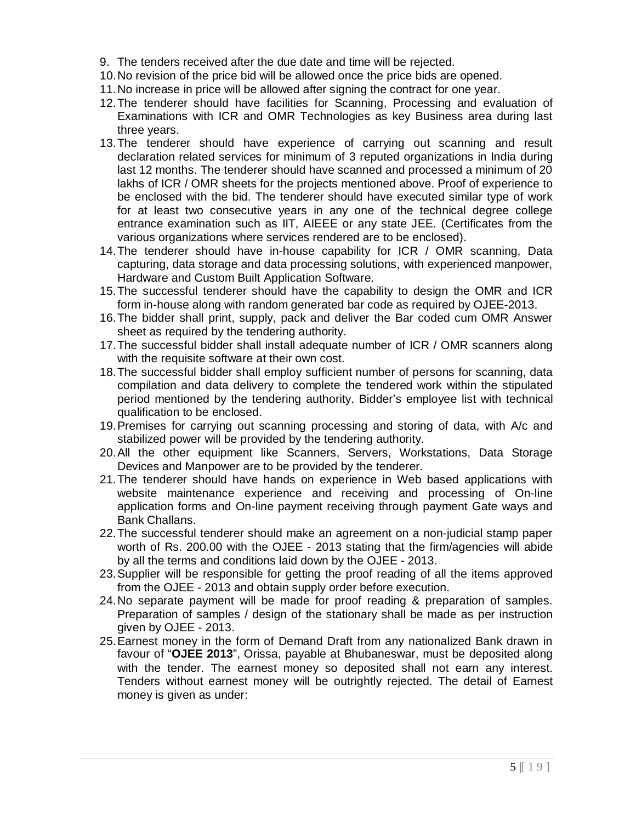- 9. The tenders received after the due date and time will be rejected.
- 10.No revision of the price bid will be allowed once the price bids are opened.
- 11.No increase in price will be allowed after signing the contract for one year.
- 12.The tenderer should have facilities for Scanning, Processing and evaluation of Examinations with ICR and OMR Technologies as key Business area during last three years.
- 13.The tenderer should have experience of carrying out scanning and result declaration related services for minimum of 3 reputed organizations in India during last 12 months. The tenderer should have scanned and processed a minimum of 20 lakhs of ICR / OMR sheets for the projects mentioned above. Proof of experience to be enclosed with the bid. The tenderer should have executed similar type of work for at least two consecutive years in any one of the technical degree college entrance examination such as IIT, AIEEE or any state JEE. (Certificates from the various organizations where services rendered are to be enclosed).
- 14.The tenderer should have in-house capability for ICR / OMR scanning, Data capturing, data storage and data processing solutions, with experienced manpower, Hardware and Custom Built Application Software.
- 15.The successful tenderer should have the capability to design the OMR and ICR form in-house along with random generated bar code as required by OJEE-2013.
- 16.The bidder shall print, supply, pack and deliver the Bar coded cum OMR Answer sheet as required by the tendering authority.
- 17.The successful bidder shall install adequate number of ICR / OMR scanners along with the requisite software at their own cost.
- 18.The successful bidder shall employ sufficient number of persons for scanning, data compilation and data delivery to complete the tendered work within the stipulated period mentioned by the tendering authority. Bidder's employee list with technical qualification to be enclosed.
- 19.Premises for carrying out scanning processing and storing of data, with A/c and stabilized power will be provided by the tendering authority.
- 20.All the other equipment like Scanners, Servers, Workstations, Data Storage Devices and Manpower are to be provided by the tenderer.
- 21.The tenderer should have hands on experience in Web based applications with website maintenance experience and receiving and processing of On-line application forms and On-line payment receiving through payment Gate ways and Bank Challans.
- 22.The successful tenderer should make an agreement on a non-judicial stamp paper worth of Rs. 200.00 with the OJEE - 2013 stating that the firm/agencies will abide by all the terms and conditions laid down by the OJEE - 2013.
- 23.Supplier will be responsible for getting the proof reading of all the items approved from the OJEE - 2013 and obtain supply order before execution.
- 24.No separate payment will be made for proof reading & preparation of samples. Preparation of samples / design of the stationary shall be made as per instruction given by OJEE - 2013.
- 25.Earnest money in the form of Demand Draft from any nationalized Bank drawn in favour of "**OJEE 2013**", Orissa, payable at Bhubaneswar, must be deposited along with the tender. The earnest money so deposited shall not earn any interest. Tenders without earnest money will be outrightly rejected. The detail of Earnest money is given as under: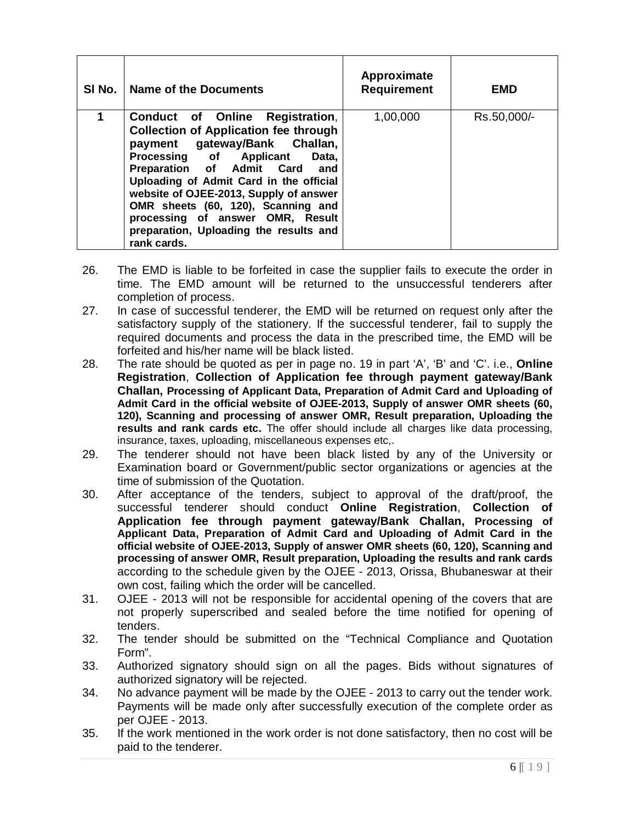| SI No. | <b>Name of the Documents</b>                                                                                                                                                                                                                                                                                                                                                                                  | Approximate<br><b>Requirement</b> | <b>EMD</b>  |
|--------|---------------------------------------------------------------------------------------------------------------------------------------------------------------------------------------------------------------------------------------------------------------------------------------------------------------------------------------------------------------------------------------------------------------|-----------------------------------|-------------|
| 1      | Conduct of Online Registration,<br><b>Collection of Application fee through</b><br>payment gateway/Bank Challan,<br>Processing of Applicant<br>Data,<br>Preparation of Admit Card and<br>Uploading of Admit Card in the official<br>website of OJEE-2013, Supply of answer<br>OMR sheets (60, 120), Scanning and<br>processing of answer OMR, Result<br>preparation, Uploading the results and<br>rank cards. | 1,00,000                          | Rs.50,000/- |

- 26. The EMD is liable to be forfeited in case the supplier fails to execute the order in time. The EMD amount will be returned to the unsuccessful tenderers after completion of process.
- 27. In case of successful tenderer, the EMD will be returned on request only after the satisfactory supply of the stationery. If the successful tenderer, fail to supply the required documents and process the data in the prescribed time, the EMD will be forfeited and his/her name will be black listed.
- 28. The rate should be quoted as per in page no. 19 in part 'A', 'B' and 'C'. i.e., **Online Registration**, **Collection of Application fee through payment gateway/Bank Challan, Processing of Applicant Data, Preparation of Admit Card and Uploading of Admit Card in the official website of OJEE-2013, Supply of answer OMR sheets (60, 120), Scanning and processing of answer OMR, Result preparation, Uploading the results and rank cards etc.** The offer should include all charges like data processing, insurance, taxes, uploading, miscellaneous expenses etc,.
- 29. The tenderer should not have been black listed by any of the University or Examination board or Government/public sector organizations or agencies at the time of submission of the Quotation.
- 30. After acceptance of the tenders, subject to approval of the draft/proof, the successful tenderer should conduct **Online Registration**, **Collection of Application fee through payment gateway/Bank Challan, Processing of Applicant Data, Preparation of Admit Card and Uploading of Admit Card in the official website of OJEE-2013, Supply of answer OMR sheets (60, 120), Scanning and processing of answer OMR, Result preparation, Uploading the results and rank cards**  according to the schedule given by the OJEE - 2013, Orissa, Bhubaneswar at their own cost, failing which the order will be cancelled.
- 31. OJEE 2013 will not be responsible for accidental opening of the covers that are not properly superscribed and sealed before the time notified for opening of tenders.
- 32. The tender should be submitted on the "Technical Compliance and Quotation Form".
- 33. Authorized signatory should sign on all the pages. Bids without signatures of authorized signatory will be rejected.
- 34. No advance payment will be made by the OJEE 2013 to carry out the tender work. Payments will be made only after successfully execution of the complete order as per OJEE - 2013.
- 35. If the work mentioned in the work order is not done satisfactory, then no cost will be paid to the tenderer.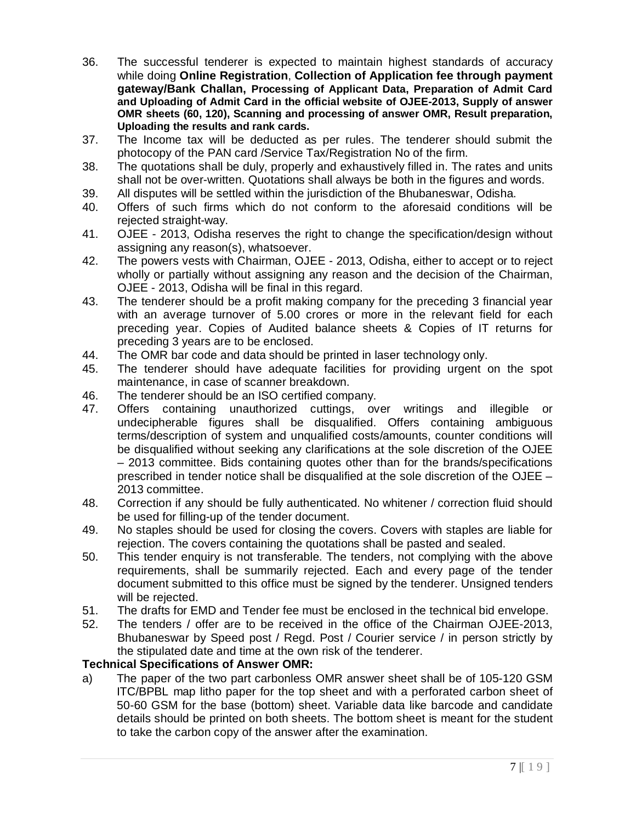- 36. The successful tenderer is expected to maintain highest standards of accuracy while doing **Online Registration**, **Collection of Application fee through payment gateway/Bank Challan, Processing of Applicant Data, Preparation of Admit Card and Uploading of Admit Card in the official website of OJEE-2013, Supply of answer OMR sheets (60, 120), Scanning and processing of answer OMR, Result preparation, Uploading the results and rank cards.**
- 37. The Income tax will be deducted as per rules. The tenderer should submit the photocopy of the PAN card /Service Tax/Registration No of the firm.
- 38. The quotations shall be duly, properly and exhaustively filled in. The rates and units shall not be over-written. Quotations shall always be both in the figures and words.
- 39. All disputes will be settled within the jurisdiction of the Bhubaneswar, Odisha.
- 40. Offers of such firms which do not conform to the aforesaid conditions will be rejected straight-way.
- 41. OJEE 2013, Odisha reserves the right to change the specification/design without assigning any reason(s), whatsoever.
- 42. The powers vests with Chairman, OJEE 2013, Odisha, either to accept or to reject wholly or partially without assigning any reason and the decision of the Chairman, OJEE - 2013, Odisha will be final in this regard.
- 43. The tenderer should be a profit making company for the preceding 3 financial year with an average turnover of 5.00 crores or more in the relevant field for each preceding year. Copies of Audited balance sheets & Copies of IT returns for preceding 3 years are to be enclosed.
- 44. The OMR bar code and data should be printed in laser technology only.
- 45. The tenderer should have adequate facilities for providing urgent on the spot maintenance, in case of scanner breakdown.
- 46. The tenderer should be an ISO certified company.
- 47. Offers containing unauthorized cuttings, over writings and illegible or undecipherable figures shall be disqualified. Offers containing ambiguous terms/description of system and unqualified costs/amounts, counter conditions will be disqualified without seeking any clarifications at the sole discretion of the OJEE – 2013 committee. Bids containing quotes other than for the brands/specifications prescribed in tender notice shall be disqualified at the sole discretion of the OJEE – 2013 committee.
- 48. Correction if any should be fully authenticated. No whitener / correction fluid should be used for filling-up of the tender document.
- 49. No staples should be used for closing the covers. Covers with staples are liable for rejection. The covers containing the quotations shall be pasted and sealed.
- 50. This tender enquiry is not transferable. The tenders, not complying with the above requirements, shall be summarily rejected. Each and every page of the tender document submitted to this office must be signed by the tenderer. Unsigned tenders will be rejected.
- 51. The drafts for EMD and Tender fee must be enclosed in the technical bid envelope.
- 52. The tenders / offer are to be received in the office of the Chairman OJEE-2013, Bhubaneswar by Speed post / Regd. Post / Courier service / in person strictly by the stipulated date and time at the own risk of the tenderer.

# **Technical Specifications of Answer OMR:**

a) The paper of the two part carbonless OMR answer sheet shall be of 105-120 GSM ITC/BPBL map litho paper for the top sheet and with a perforated carbon sheet of 50-60 GSM for the base (bottom) sheet. Variable data like barcode and candidate details should be printed on both sheets. The bottom sheet is meant for the student to take the carbon copy of the answer after the examination.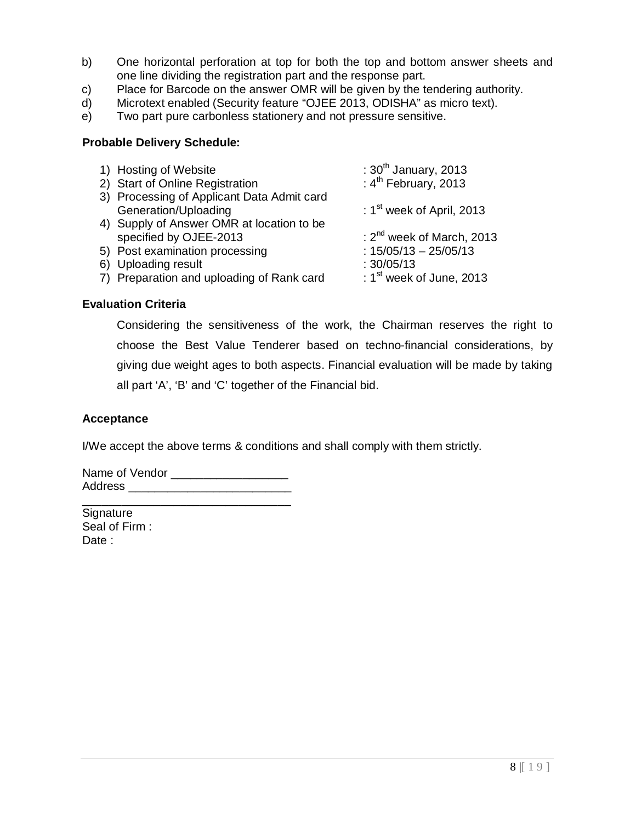- b) One horizontal perforation at top for both the top and bottom answer sheets and one line dividing the registration part and the response part.
- c) Place for Barcode on the answer OMR will be given by the tendering authority.
- d) Microtext enabled (Security feature "OJEE 2013, ODISHA" as micro text).
- e) Two part pure carbonless stationery and not pressure sensitive.

### **Probable Delivery Schedule:**

| 1) Hosting of Website                      | : $30th$ January, 2013      |
|--------------------------------------------|-----------------------------|
| 2) Start of Online Registration            | : $4^{th}$ February, 2013   |
| 3) Processing of Applicant Data Admit card |                             |
| Generation/Uploading                       | : $1st$ week of April, 2013 |
| 4) Supply of Answer OMR at location to be  |                             |
| specified by OJEE-2013                     | : $2nd$ week of March, 2013 |
| 5) Post examination processing             | $: 15/05/13 - 25/05/13$     |
| 6) Uploading result                        | :30/05/13                   |
| 7) Preparation and uploading of Rank card  | : $1st$ week of June, 2013  |
|                                            |                             |

## **Evaluation Criteria**

Considering the sensitiveness of the work, the Chairman reserves the right to choose the Best Value Tenderer based on techno-financial considerations, by giving due weight ages to both aspects. Financial evaluation will be made by taking all part 'A', 'B' and 'C' together of the Financial bid.

### **Acceptance**

I/We accept the above terms & conditions and shall comply with them strictly.

Name of Vendor **Name** Address \_\_\_\_\_\_\_\_\_\_\_\_\_\_\_\_\_\_\_\_\_\_\_\_\_ \_\_\_\_\_\_\_\_\_\_\_\_\_\_\_\_\_\_\_\_\_\_\_\_\_\_\_\_\_\_\_\_

**Signature** Seal of Firm : Date :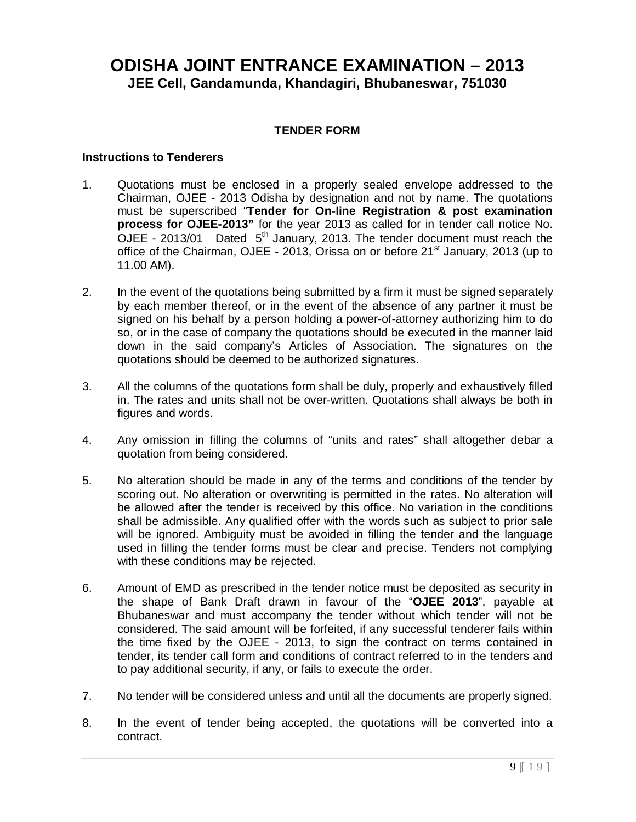# **ODISHA JOINT ENTRANCE EXAMINATION – 2013 JEE Cell, Gandamunda, Khandagiri, Bhubaneswar, 751030**

## **TENDER FORM**

#### **Instructions to Tenderers**

- 1. Quotations must be enclosed in a properly sealed envelope addressed to the Chairman, OJEE - 2013 Odisha by designation and not by name. The quotations must be superscribed "**Tender for On-line Registration & post examination process for OJEE-2013"** for the year 2013 as called for in tender call notice No. OJEE - 2013/01 Dated  $5<sup>th</sup>$  January, 2013. The tender document must reach the office of the Chairman, OJEE - 2013, Orissa on or before 21<sup>st</sup> January, 2013 (up to 11.00 AM).
- 2. In the event of the quotations being submitted by a firm it must be signed separately by each member thereof, or in the event of the absence of any partner it must be signed on his behalf by a person holding a power-of-attorney authorizing him to do so, or in the case of company the quotations should be executed in the manner laid down in the said company's Articles of Association. The signatures on the quotations should be deemed to be authorized signatures.
- 3. All the columns of the quotations form shall be duly, properly and exhaustively filled in. The rates and units shall not be over-written. Quotations shall always be both in figures and words.
- 4. Any omission in filling the columns of "units and rates" shall altogether debar a quotation from being considered.
- 5. No alteration should be made in any of the terms and conditions of the tender by scoring out. No alteration or overwriting is permitted in the rates. No alteration will be allowed after the tender is received by this office. No variation in the conditions shall be admissible. Any qualified offer with the words such as subject to prior sale will be ignored. Ambiguity must be avoided in filling the tender and the language used in filling the tender forms must be clear and precise. Tenders not complying with these conditions may be rejected.
- 6. Amount of EMD as prescribed in the tender notice must be deposited as security in the shape of Bank Draft drawn in favour of the "**OJEE 2013**", payable at Bhubaneswar and must accompany the tender without which tender will not be considered. The said amount will be forfeited, if any successful tenderer fails within the time fixed by the OJEE - 2013, to sign the contract on terms contained in tender, its tender call form and conditions of contract referred to in the tenders and to pay additional security, if any, or fails to execute the order.
- 7. No tender will be considered unless and until all the documents are properly signed.
- 8. In the event of tender being accepted, the quotations will be converted into a contract.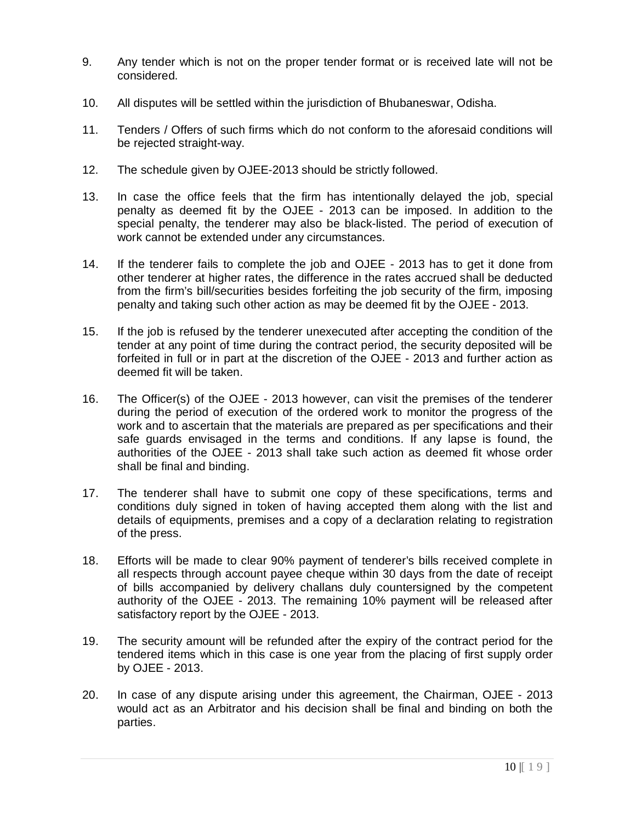- 9. Any tender which is not on the proper tender format or is received late will not be considered.
- 10. All disputes will be settled within the jurisdiction of Bhubaneswar, Odisha.
- 11. Tenders / Offers of such firms which do not conform to the aforesaid conditions will be rejected straight-way.
- 12. The schedule given by OJEE-2013 should be strictly followed.
- 13. In case the office feels that the firm has intentionally delayed the job, special penalty as deemed fit by the OJEE - 2013 can be imposed. In addition to the special penalty, the tenderer may also be black-listed. The period of execution of work cannot be extended under any circumstances.
- 14. If the tenderer fails to complete the job and OJEE 2013 has to get it done from other tenderer at higher rates, the difference in the rates accrued shall be deducted from the firm's bill/securities besides forfeiting the job security of the firm, imposing penalty and taking such other action as may be deemed fit by the OJEE - 2013.
- 15. If the job is refused by the tenderer unexecuted after accepting the condition of the tender at any point of time during the contract period, the security deposited will be forfeited in full or in part at the discretion of the OJEE - 2013 and further action as deemed fit will be taken.
- 16. The Officer(s) of the OJEE 2013 however, can visit the premises of the tenderer during the period of execution of the ordered work to monitor the progress of the work and to ascertain that the materials are prepared as per specifications and their safe guards envisaged in the terms and conditions. If any lapse is found, the authorities of the OJEE - 2013 shall take such action as deemed fit whose order shall be final and binding.
- 17. The tenderer shall have to submit one copy of these specifications, terms and conditions duly signed in token of having accepted them along with the list and details of equipments, premises and a copy of a declaration relating to registration of the press.
- 18. Efforts will be made to clear 90% payment of tenderer's bills received complete in all respects through account payee cheque within 30 days from the date of receipt of bills accompanied by delivery challans duly countersigned by the competent authority of the OJEE - 2013. The remaining 10% payment will be released after satisfactory report by the OJEE - 2013.
- 19. The security amount will be refunded after the expiry of the contract period for the tendered items which in this case is one year from the placing of first supply order by OJEE - 2013.
- 20. In case of any dispute arising under this agreement, the Chairman, OJEE 2013 would act as an Arbitrator and his decision shall be final and binding on both the parties.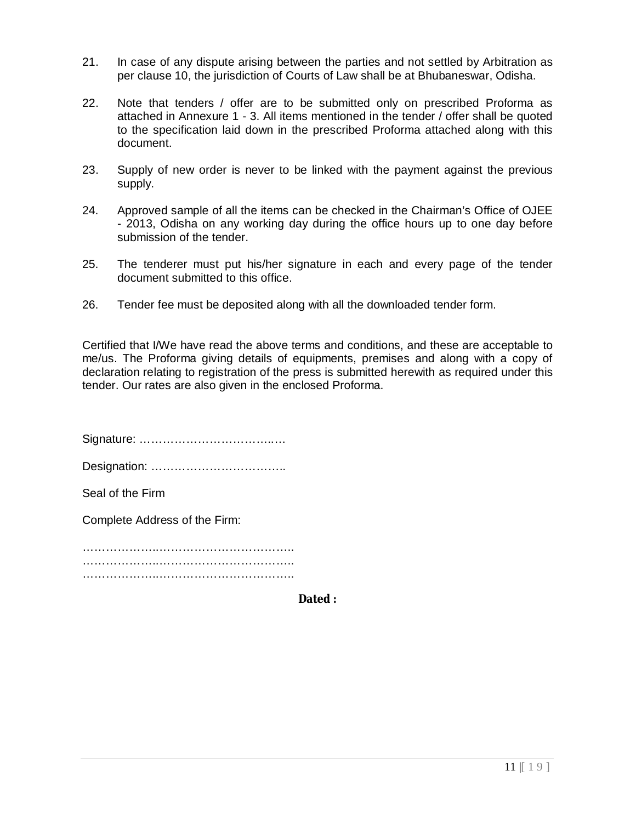- 21. In case of any dispute arising between the parties and not settled by Arbitration as per clause 10, the jurisdiction of Courts of Law shall be at Bhubaneswar, Odisha.
- 22. Note that tenders / offer are to be submitted only on prescribed Proforma as attached in Annexure 1 - 3. All items mentioned in the tender / offer shall be quoted to the specification laid down in the prescribed Proforma attached along with this document.
- 23. Supply of new order is never to be linked with the payment against the previous supply.
- 24. Approved sample of all the items can be checked in the Chairman's Office of OJEE - 2013, Odisha on any working day during the office hours up to one day before submission of the tender.
- 25. The tenderer must put his/her signature in each and every page of the tender document submitted to this office.
- 26. Tender fee must be deposited along with all the downloaded tender form.

Certified that I/We have read the above terms and conditions, and these are acceptable to me/us. The Proforma giving details of equipments, premises and along with a copy of declaration relating to registration of the press is submitted herewith as required under this tender. Our rates are also given in the enclosed Proforma.

Signature: ……………………………..…

Designation: ……………………………..

Seal of the Firm

Complete Address of the Firm:

………………..…………………………….. …………………………………………………………… ………………………………………………………………

**Dated :**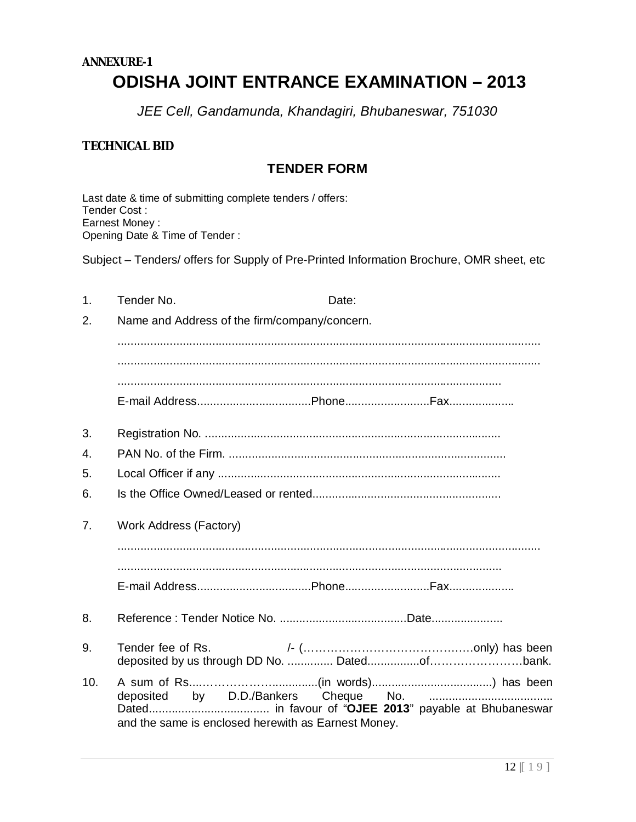# **ANNEXURE-1 ODISHA JOINT ENTRANCE EXAMINATION – 2013**

*JEE Cell, Gandamunda, Khandagiri, Bhubaneswar, 751030*

# **TECHNICAL BID**

# **TENDER FORM**

Last date & time of submitting complete tenders / offers: Tender Cost : Earnest Money : Opening Date & Time of Tender :

Subject – Tenders/ offers for Supply of Pre-Printed Information Brochure, OMR sheet, etc

| 1.  | Tender No.                                          | Date: |  |
|-----|-----------------------------------------------------|-------|--|
| 2.  | Name and Address of the firm/company/concern.       |       |  |
|     |                                                     |       |  |
|     |                                                     |       |  |
|     |                                                     |       |  |
|     |                                                     |       |  |
| 3.  |                                                     |       |  |
| 4.  |                                                     |       |  |
| 5.  |                                                     |       |  |
| 6.  |                                                     |       |  |
| 7.  | <b>Work Address (Factory)</b>                       |       |  |
|     |                                                     |       |  |
|     |                                                     |       |  |
|     |                                                     |       |  |
| 8.  |                                                     |       |  |
| 9.  |                                                     |       |  |
| 10. | and the same is enclosed herewith as Earnest Money. |       |  |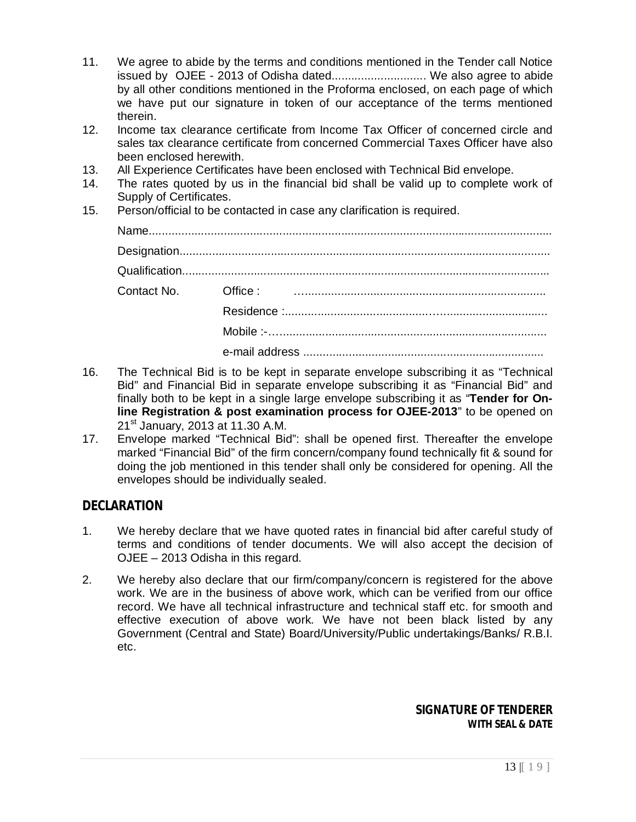- 11. We agree to abide by the terms and conditions mentioned in the Tender call Notice issued by OJEE - 2013 of Odisha dated............................. We also agree to abide by all other conditions mentioned in the Proforma enclosed, on each page of which we have put our signature in token of our acceptance of the terms mentioned therein.
- 12. Income tax clearance certificate from Income Tax Officer of concerned circle and sales tax clearance certificate from concerned Commercial Taxes Officer have also been enclosed herewith.
- 13. All Experience Certificates have been enclosed with Technical Bid envelope.
- 14. The rates quoted by us in the financial bid shall be valid up to complete work of Supply of Certificates.
- 15. Person/official to be contacted in case any clarification is required.

| Contact No. Office: <b>William Contact No.</b> Office: |
|--------------------------------------------------------|
|                                                        |
|                                                        |
|                                                        |

- 16. The Technical Bid is to be kept in separate envelope subscribing it as "Technical Bid" and Financial Bid in separate envelope subscribing it as "Financial Bid" and finally both to be kept in a single large envelope subscribing it as "**Tender for Online Registration & post examination process for OJEE-2013**" to be opened on 21<sup>st</sup> January, 2013 at 11.30 A.M.
- 17. Envelope marked "Technical Bid": shall be opened first. Thereafter the envelope marked "Financial Bid" of the firm concern/company found technically fit & sound for doing the job mentioned in this tender shall only be considered for opening. All the envelopes should be individually sealed.

# **DECLARATION**

- 1. We hereby declare that we have quoted rates in financial bid after careful study of terms and conditions of tender documents. We will also accept the decision of OJEE – 2013 Odisha in this regard.
- 2. We hereby also declare that our firm/company/concern is registered for the above work. We are in the business of above work, which can be verified from our office record. We have all technical infrastructure and technical staff etc. for smooth and effective execution of above work. We have not been black listed by any Government (Central and State) Board/University/Public undertakings/Banks/ R.B.I. etc.

*SIGNATURE OF TENDERER* **WITH SEAL & DATE**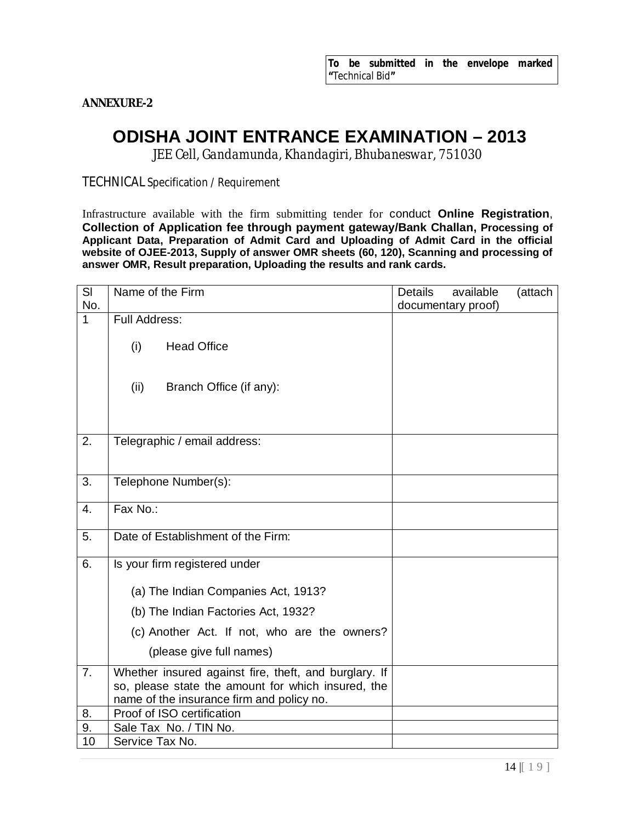**ANNEXURE-2**

# **ODISHA JOINT ENTRANCE EXAMINATION – 2013**

*JEE Cell, Gandamunda, Khandagiri, Bhubaneswar, 751030*

TECHNICAL Specification / Requirement

Infrastructure available with the firm submitting tender for conduct **Online Registration**, **Collection of Application fee through payment gateway/Bank Challan, Processing of Applicant Data, Preparation of Admit Card and Uploading of Admit Card in the official website of OJEE-2013, Supply of answer OMR sheets (60, 120), Scanning and processing of answer OMR, Result preparation, Uploading the results and rank cards.**

| SI               | Name of the Firm                                                                                                                                         | <b>Details</b> | available          | (attach |
|------------------|----------------------------------------------------------------------------------------------------------------------------------------------------------|----------------|--------------------|---------|
| No.              |                                                                                                                                                          |                | documentary proof) |         |
| $\mathbf{1}$     | Full Address:                                                                                                                                            |                |                    |         |
|                  | (i)<br><b>Head Office</b>                                                                                                                                |                |                    |         |
|                  | (ii)<br>Branch Office (if any):                                                                                                                          |                |                    |         |
|                  |                                                                                                                                                          |                |                    |         |
| 2.               | Telegraphic / email address:                                                                                                                             |                |                    |         |
| 3.               | Telephone Number(s):                                                                                                                                     |                |                    |         |
| $\overline{4}$ . | Fax No.:                                                                                                                                                 |                |                    |         |
| 5.               | Date of Establishment of the Firm:                                                                                                                       |                |                    |         |
| 6.               | Is your firm registered under                                                                                                                            |                |                    |         |
|                  | (a) The Indian Companies Act, 1913?                                                                                                                      |                |                    |         |
|                  | (b) The Indian Factories Act, 1932?                                                                                                                      |                |                    |         |
|                  | (c) Another Act. If not, who are the owners?                                                                                                             |                |                    |         |
|                  | (please give full names)                                                                                                                                 |                |                    |         |
| 7.               | Whether insured against fire, theft, and burglary. If<br>so, please state the amount for which insured, the<br>name of the insurance firm and policy no. |                |                    |         |
| 8.               | Proof of ISO certification                                                                                                                               |                |                    |         |
| 9.               | Sale Tax No. / TIN No.                                                                                                                                   |                |                    |         |
| 10               | Service Tax No.                                                                                                                                          |                |                    |         |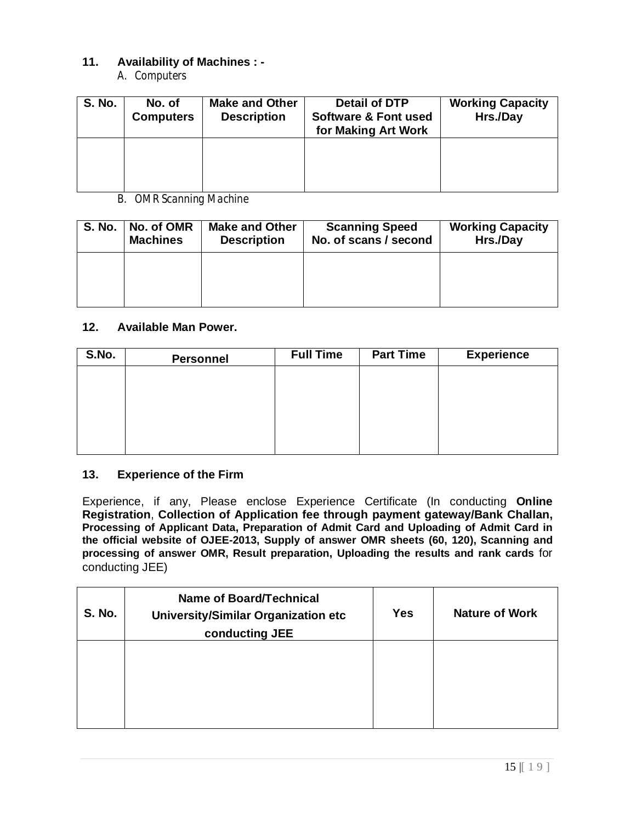# **11. Availability of Machines : -**

*A. Computers*

| <b>S. No.</b> | No. of<br><b>Computers</b> | <b>Make and Other</b><br><b>Description</b> | <b>Detail of DTP</b><br><b>Software &amp; Font used</b><br>for Making Art Work | <b>Working Capacity</b><br>Hrs./Day |
|---------------|----------------------------|---------------------------------------------|--------------------------------------------------------------------------------|-------------------------------------|
|               |                            |                                             |                                                                                |                                     |

*B. OMR Scanning Machine*

| <b>S. No.</b> | No. of OMR<br><b>Machines</b> | <b>Make and Other</b><br><b>Description</b> | <b>Scanning Speed</b><br>No. of scans / second | <b>Working Capacity</b><br>Hrs./Day |
|---------------|-------------------------------|---------------------------------------------|------------------------------------------------|-------------------------------------|
|               |                               |                                             |                                                |                                     |
|               |                               |                                             |                                                |                                     |

### **12. Available Man Power.**

| S.No. | <b>Personnel</b> | <b>Full Time</b> | <b>Part Time</b> | <b>Experience</b> |
|-------|------------------|------------------|------------------|-------------------|
|       |                  |                  |                  |                   |
|       |                  |                  |                  |                   |
|       |                  |                  |                  |                   |
|       |                  |                  |                  |                   |
|       |                  |                  |                  |                   |

# **13. Experience of the Firm**

Experience, if any, Please enclose Experience Certificate (In conducting **Online Registration**, **Collection of Application fee through payment gateway/Bank Challan, Processing of Applicant Data, Preparation of Admit Card and Uploading of Admit Card in the official website of OJEE-2013, Supply of answer OMR sheets (60, 120), Scanning and processing of answer OMR, Result preparation, Uploading the results and rank cards** for conducting JEE)

| <b>S. No.</b> | Name of Board/Technical<br>University/Similar Organization etc<br>conducting JEE | <b>Yes</b> | <b>Nature of Work</b> |
|---------------|----------------------------------------------------------------------------------|------------|-----------------------|
|               |                                                                                  |            |                       |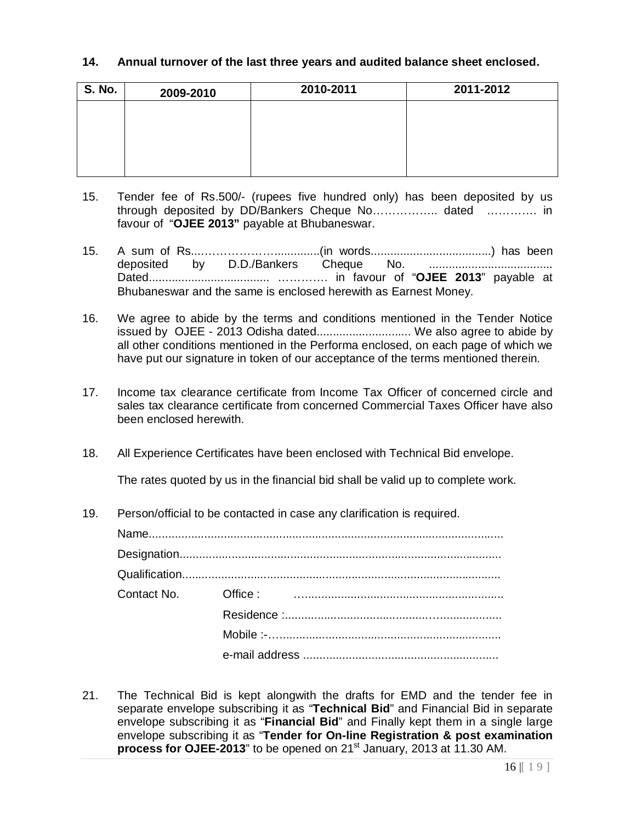#### **14. Annual turnover of the last three years and audited balance sheet enclosed.**

| <b>S. No.</b> | 2009-2010 | 2010-2011 | 2011-2012 |
|---------------|-----------|-----------|-----------|
|               |           |           |           |
|               |           |           |           |
|               |           |           |           |
|               |           |           |           |

- 15. Tender fee of Rs.500/- (rupees five hundred only) has been deposited by us through deposited by DD/Bankers Cheque No…………….. dated …………. in favour of "**OJEE 2013"** payable at Bhubaneswar.
- 15. A sum of Rs....………………..............(in words.....................................) has been deposited by D.D./Bankers Cheque No. ...................................... Dated..................................... …………. in favour of "**OJEE 2013**" payable at Bhubaneswar and the same is enclosed herewith as Earnest Money.
- 16. We agree to abide by the terms and conditions mentioned in the Tender Notice issued by OJEE - 2013 Odisha dated............................. We also agree to abide by all other conditions mentioned in the Performa enclosed, on each page of which we have put our signature in token of our acceptance of the terms mentioned therein.
- 17. Income tax clearance certificate from Income Tax Officer of concerned circle and sales tax clearance certificate from concerned Commercial Taxes Officer have also been enclosed herewith.
- 18. All Experience Certificates have been enclosed with Technical Bid envelope.

The rates quoted by us in the financial bid shall be valid up to complete work.

19. Person/official to be contacted in case any clarification is required.

21. The Technical Bid is kept alongwith the drafts for EMD and the tender fee in separate envelope subscribing it as "**Technical Bid**" and Financial Bid in separate envelope subscribing it as "**Financial Bid**" and Finally kept them in a single large envelope subscribing it as "**Tender for On-line Registration & post examination**  process for OJEE-2013" to be opened on 21<sup>st</sup> January, 2013 at 11.30 AM.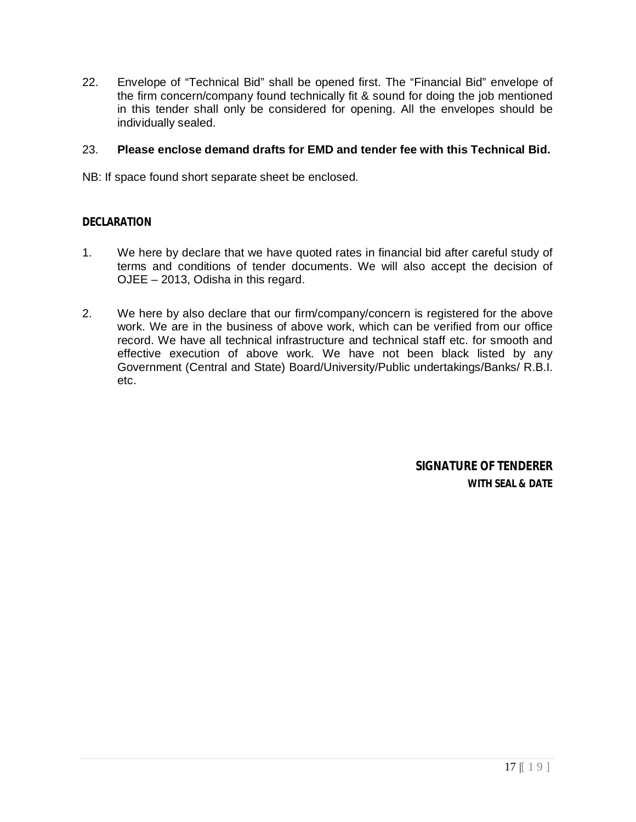22. Envelope of "Technical Bid" shall be opened first. The "Financial Bid" envelope of the firm concern/company found technically fit & sound for doing the job mentioned in this tender shall only be considered for opening. All the envelopes should be individually sealed.

## 23. **Please enclose demand drafts for EMD and tender fee with this Technical Bid.**

NB: If space found short separate sheet be enclosed.

## **DECLARATION**

- 1. We here by declare that we have quoted rates in financial bid after careful study of terms and conditions of tender documents. We will also accept the decision of OJEE – 2013, Odisha in this regard.
- 2. We here by also declare that our firm/company/concern is registered for the above work. We are in the business of above work, which can be verified from our office record. We have all technical infrastructure and technical staff etc. for smooth and effective execution of above work. We have not been black listed by any Government (Central and State) Board/University/Public undertakings/Banks/ R.B.I. etc.

*SIGNATURE OF TENDERER* **WITH SEAL & DATE**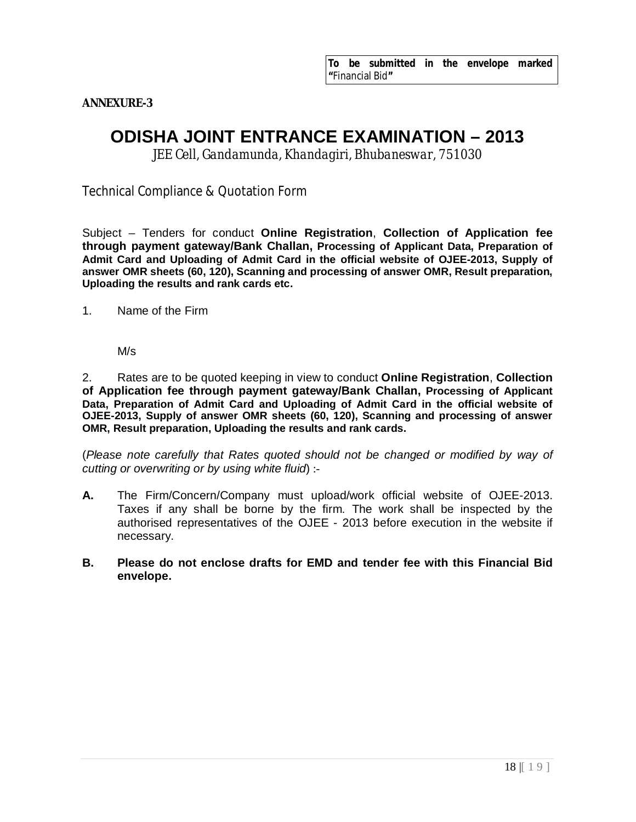**ANNEXURE-3**

# **ODISHA JOINT ENTRANCE EXAMINATION – 2013**

*JEE Cell, Gandamunda, Khandagiri, Bhubaneswar, 751030*

Technical Compliance & Quotation Form

Subject – Tenders for conduct **Online Registration**, **Collection of Application fee through payment gateway/Bank Challan, Processing of Applicant Data, Preparation of Admit Card and Uploading of Admit Card in the official website of OJEE-2013, Supply of answer OMR sheets (60, 120), Scanning and processing of answer OMR, Result preparation, Uploading the results and rank cards etc.**

1. Name of the Firm

M/s

2. Rates are to be quoted keeping in view to conduct **Online Registration**, **Collection of Application fee through payment gateway/Bank Challan, Processing of Applicant Data, Preparation of Admit Card and Uploading of Admit Card in the official website of OJEE-2013, Supply of answer OMR sheets (60, 120), Scanning and processing of answer OMR, Result preparation, Uploading the results and rank cards.**

(*Please note carefully that Rates quoted should not be changed or modified by way of cutting or overwriting or by using white fluid*) :-

- **A.** The Firm/Concern/Company must upload/work official website of OJEE-2013. Taxes if any shall be borne by the firm. The work shall be inspected by the authorised representatives of the OJEE - 2013 before execution in the website if necessary.
- **B. Please do not enclose drafts for EMD and tender fee with this Financial Bid envelope.**